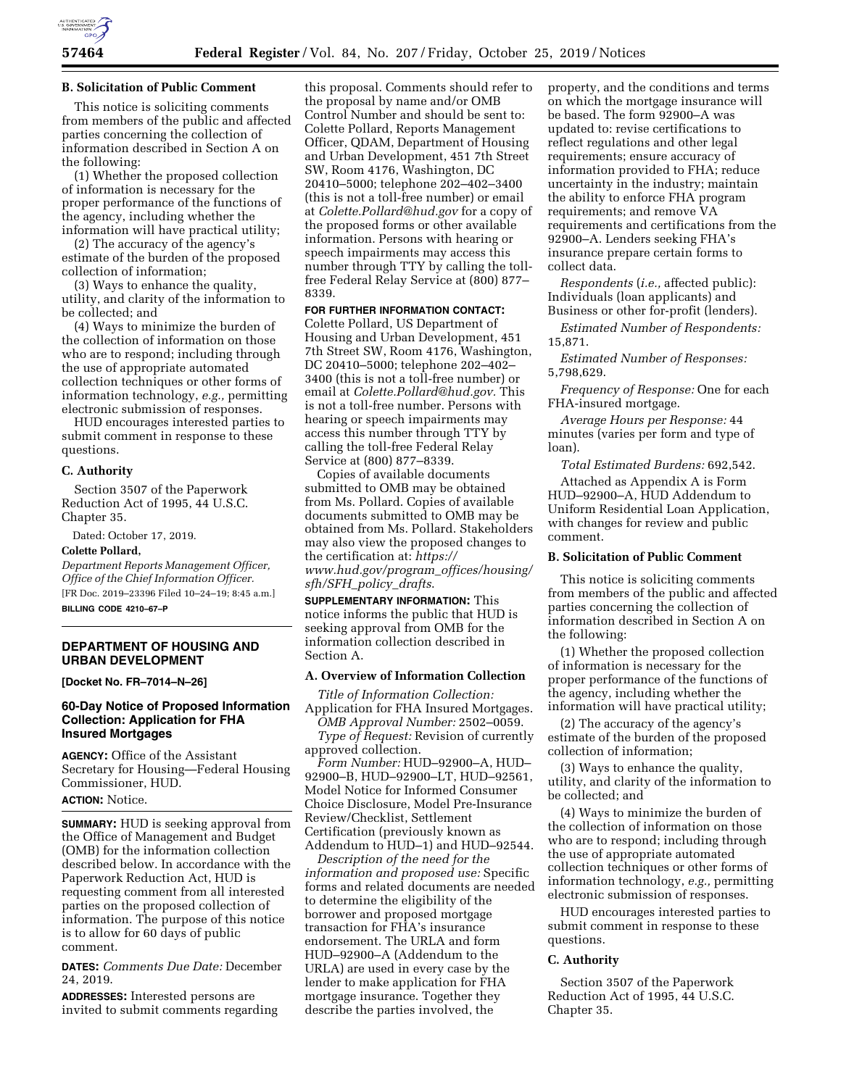

#### **B. Solicitation of Public Comment**

This notice is soliciting comments from members of the public and affected parties concerning the collection of information described in Section A on the following:

(1) Whether the proposed collection of information is necessary for the proper performance of the functions of the agency, including whether the information will have practical utility;

(2) The accuracy of the agency's estimate of the burden of the proposed collection of information;

(3) Ways to enhance the quality, utility, and clarity of the information to be collected; and

(4) Ways to minimize the burden of the collection of information on those who are to respond; including through the use of appropriate automated collection techniques or other forms of information technology, *e.g.,* permitting electronic submission of responses.

HUD encourages interested parties to submit comment in response to these questions.

#### **C. Authority**

Section 3507 of the Paperwork Reduction Act of 1995, 44 U.S.C. Chapter 35.

Dated: October 17, 2019.

#### **Colette Pollard,**

*Department Reports Management Officer, Office of the Chief Information Officer.*  [FR Doc. 2019–23396 Filed 10–24–19; 8:45 a.m.] **BILLING CODE 4210–67–P** 

## **DEPARTMENT OF HOUSING AND URBAN DEVELOPMENT**

**[Docket No. FR–7014–N–26]** 

### **60-Day Notice of Proposed Information Collection: Application for FHA Insured Mortgages**

**AGENCY:** Office of the Assistant Secretary for Housing—Federal Housing Commissioner, HUD.

#### **ACTION:** Notice.

**SUMMARY:** HUD is seeking approval from the Office of Management and Budget (OMB) for the information collection described below. In accordance with the Paperwork Reduction Act, HUD is requesting comment from all interested parties on the proposed collection of information. The purpose of this notice is to allow for 60 days of public comment.

**DATES:** *Comments Due Date:* December 24, 2019.

**ADDRESSES:** Interested persons are invited to submit comments regarding this proposal. Comments should refer to the proposal by name and/or OMB Control Number and should be sent to: Colette Pollard, Reports Management Officer, QDAM, Department of Housing and Urban Development, 451 7th Street SW, Room 4176, Washington, DC 20410–5000; telephone 202–402–3400 (this is not a toll-free number) or email at *[Colette.Pollard@hud.gov](mailto:Colette.Pollard@hud.gov)* for a copy of the proposed forms or other available information. Persons with hearing or speech impairments may access this number through TTY by calling the tollfree Federal Relay Service at (800) 877– 8339.

#### **FOR FURTHER INFORMATION CONTACT:**

Colette Pollard, US Department of Housing and Urban Development, 451 7th Street SW, Room 4176, Washington, DC 20410–5000; telephone 202–402– 3400 (this is not a toll-free number) or email at *[Colette.Pollard@hud.gov.](mailto:Colette.Pollard@hud.gov)* This is not a toll-free number. Persons with hearing or speech impairments may access this number through TTY by calling the toll-free Federal Relay Service at (800) 877–8339.

Copies of available documents submitted to OMB may be obtained from Ms. Pollard. Copies of available documents submitted to OMB may be obtained from Ms. Pollard. Stakeholders may also view the proposed changes to the certification at: *[https://](https://www.hud.gov/program_offices/housing/sfh/SFH_policy_drafts) [www.hud.gov/program](https://www.hud.gov/program_offices/housing/sfh/SFH_policy_drafts)*\_*offices/housing/ [sfh/SFH](https://www.hud.gov/program_offices/housing/sfh/SFH_policy_drafts)*\_*policy*\_*drafts*.

**SUPPLEMENTARY INFORMATION:** This notice informs the public that HUD is seeking approval from OMB for the information collection described in Section A.

#### **A. Overview of Information Collection**

*Title of Information Collection:*  Application for FHA Insured Mortgages.

*OMB Approval Number:* 2502–0059. *Type of Request:* Revision of currently approved collection.

*Form Number:* HUD–92900–A, HUD– 92900–B, HUD–92900–LT, HUD–92561, Model Notice for Informed Consumer Choice Disclosure, Model Pre-Insurance Review/Checklist, Settlement Certification (previously known as Addendum to HUD–1) and HUD–92544.

*Description of the need for the information and proposed use:* Specific forms and related documents are needed to determine the eligibility of the borrower and proposed mortgage transaction for FHA's insurance endorsement. The URLA and form HUD–92900–A (Addendum to the URLA) are used in every case by the lender to make application for FHA mortgage insurance. Together they describe the parties involved, the

property, and the conditions and terms on which the mortgage insurance will be based. The form 92900–A was updated to: revise certifications to reflect regulations and other legal requirements; ensure accuracy of information provided to FHA; reduce uncertainty in the industry; maintain the ability to enforce FHA program requirements; and remove VA requirements and certifications from the 92900–A. Lenders seeking FHA's insurance prepare certain forms to collect data.

*Respondents* (*i.e.,* affected public): Individuals (loan applicants) and Business or other for-profit (lenders).

*Estimated Number of Respondents:*  15,871.

*Estimated Number of Responses:*  5,798,629.

*Frequency of Response:* One for each FHA-insured mortgage.

*Average Hours per Response:* 44 minutes (varies per form and type of loan).

*Total Estimated Burdens:* 692,542.

Attached as Appendix A is Form HUD–92900–A, HUD Addendum to Uniform Residential Loan Application, with changes for review and public comment.

## **B. Solicitation of Public Comment**

This notice is soliciting comments from members of the public and affected parties concerning the collection of information described in Section A on the following:

(1) Whether the proposed collection of information is necessary for the proper performance of the functions of the agency, including whether the information will have practical utility;

(2) The accuracy of the agency's estimate of the burden of the proposed collection of information;

(3) Ways to enhance the quality, utility, and clarity of the information to be collected; and

(4) Ways to minimize the burden of the collection of information on those who are to respond; including through the use of appropriate automated collection techniques or other forms of information technology, *e.g.,* permitting electronic submission of responses.

HUD encourages interested parties to submit comment in response to these questions.

#### **C. Authority**

Section 3507 of the Paperwork Reduction Act of 1995, 44 U.S.C. Chapter 35.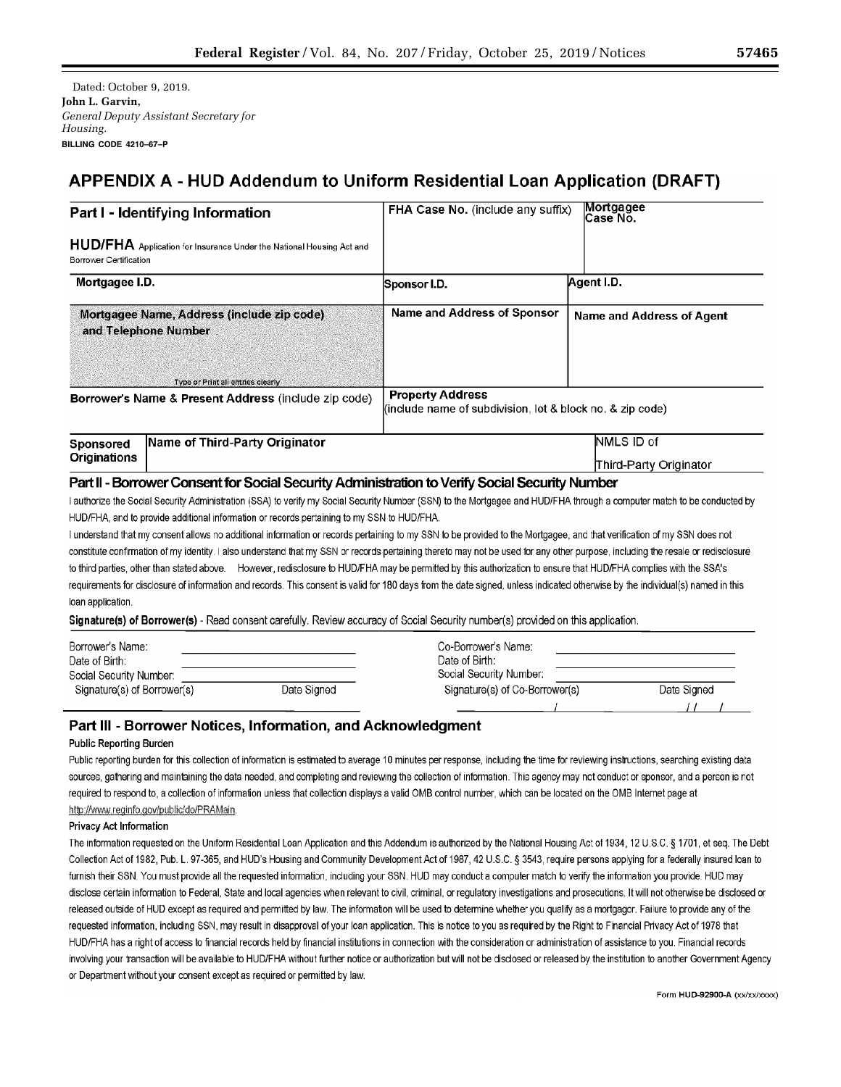Dated: October 9, 2019. **Iohn L. Garvin.** General Deputy Assistant Secretary for Housing. BILLING CODE 4210-67-P

# APPENDIX A - HUD Addendum to Uniform Residential Loan Application (DRAFT)

| Part I - Identifying Information                                |                                                                                                                                                                         | FHA Case No. (include any suffix)                                                    | Mortgagee<br>Case No.     |  |
|-----------------------------------------------------------------|-------------------------------------------------------------------------------------------------------------------------------------------------------------------------|--------------------------------------------------------------------------------------|---------------------------|--|
| Borrower Certification                                          | HUD/FHA Application for Insurance Under the National Housing Act and                                                                                                    |                                                                                      |                           |  |
| Mortgagee I.D.                                                  |                                                                                                                                                                         | Sponsor I.D.                                                                         | Agent I.D.                |  |
|                                                                 | Mortgagee Name, Address (include zip code)<br>and Telephone Number                                                                                                      | <b>Name and Address of Sponsor</b>                                                   | Name and Address of Agent |  |
|                                                                 | Type or Print all entries clearly                                                                                                                                       |                                                                                      |                           |  |
| <b>Borrower's Name &amp; Present Address (include zip code)</b> |                                                                                                                                                                         | <b>Property Address</b><br>(include name of subdivision, lot & block no, & zip code) |                           |  |
| <b>Sponsored</b>                                                | Name of Third-Party Originator                                                                                                                                          |                                                                                      | <b>NMLS ID</b> of         |  |
| <b>Originations</b>                                             |                                                                                                                                                                         |                                                                                      | Third-Party Originator    |  |
|                                                                 | Part II - Borrower Consent for Social Security Administration to Verify Social Security Number                                                                          |                                                                                      |                           |  |
|                                                                 | I authorize the Social Security Administration (SSA) to verify my Social Security Number (SSN) to the Mortgagee and HUD/FHA through a computer match to be conducted by |                                                                                      |                           |  |
|                                                                 | HUD/FHA, and to provide additional information or records pertaining to my SSN to HUD/FHA.                                                                              |                                                                                      |                           |  |
|                                                                 | I understand that my consent allows no additional information or records pertaining to my SSN to be provided to the Mortgagee, and that verification of my SSN does not |                                                                                      |                           |  |

e hi nii iyayee, constitute confirmation of my identity. I also understand that my SSN or records pertaining thereto may not be used for any other purpose, including the resale or redisclosure to third parties, other than stated above. However, redisclosure to HUD/FHA may be permitted by this authorization to ensure that HUD/FHA complies with the SSA's requirements for disclosure of information and records. This consent is valid for 180 days from the date signed, unless indicated otherwise by the individual(s) named in this loan application.

Signature(s) of Borrower(s) - Read consent carefully. Review accuracy of Social Security number(s) provided on this application.

| Borrower's Name:            |             | Co-Borrower's Name:            |             |
|-----------------------------|-------------|--------------------------------|-------------|
| Date of Birth:              |             | Date of Birth:                 |             |
| Social Security Number:     |             | Social Security Number:        |             |
| Signature(s) of Borrower(s) | Date Signed | Signature(s) of Co-Borrower(s) | Date Signed |
|                             |             |                                |             |

# Part III - Borrower Notices, Information, and Acknowledgment

### Public Reporting Burden

Public reporting burden for this collection of information is estimated to average 10 minutes per response, including the time for reviewing instructions, searching existing data sources, gathering and maintaining the data needed, and completing and reviewing the collection of information. This agency may not conduct or sponsor, and a person is not required to respond to, a collection of information unless that collection displays a valid OMB control number, which can be located on the OMB Internet page at http://www.reginfo.gov/public/do/PRAMain

### Privacy Act Information

The information requested on the Uniform Residential Loan Application and this Addendum is authorized by the National Housing Act of 1934, 12 U.S.C. § 1701, et seq. The Debt Collection Act of 1982, Pub. L. 97-365, and HUD's Housing and Community Development Act of 1987, 42 U.S.C. § 3543, require persons applying for a federally insured loan to furnish their SSN. You must provide all the requested information, including your SSN. HUD may conduct a computer match to verify the information you provide. HUD may disclose certain information to Federal, State and local agencies when relevant to civil, criminal, or regulatory investigations and prosecutions. It will not otherwise be disclosed or released outside of HUD except as required and permitted by law. The information will be used to determine whether you qualify as a mortgagor. Failure to provide any of the requested information, including SSN, may result in disapproval of your loan application. This is notice to you as required by the Right to Financial Privacy Act of 1978 that HUD/FHA has a right of access to financial records held by financial institutions in connection with the consideration or administration of assistance to you. Financial records involving your transaction will be available to HUD/FHA without further notice or authorization but will not be disclosed or released by the institution to another Government Agency or Department without your consent except as required or permitted by law.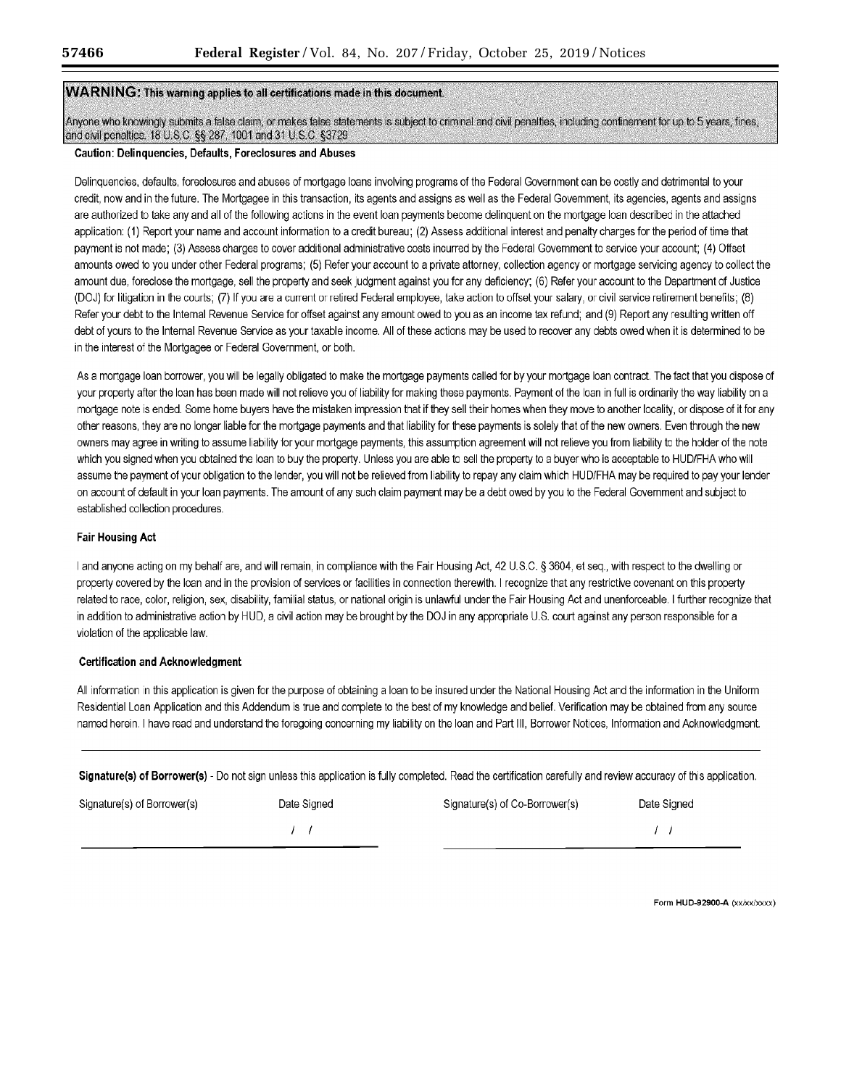# WARNING: This warning applies to all certifications made in this document.

Anyone who knowingly submits a false claim, or makes false statements is subject to criminal and civil penalties, including confinement for up to 5 years, fines, and civil penalties. 18 U.S.C. §§ 287, 1001 and 31 U.S.C. §3729

#### Caution: Delinquencies, Defaults, Foreclosures and Abuses

Delinquencies, defaults, foreclosures and abuses of mortgage loans involving programs of the Federal Government can be costly and detrimental to your credit, now and in the future. The Mortgagee in this transaction, its agents and assigns as well as the Federal Government, its agencies, agents and assigns are authorized to take any and all of the following actions in the event loan payments become delinquent on the mortgage loan described in the attached application: (1) Report your name and account information to a credit bureau; (2) Assess additional interest and penalty charges for the period of time that payment is not made; (3) Assess charges to cover additional administrative costs incurred by the Federal Government to service your account; (4) Offset amounts owed to you under other Federal programs; (5) Refer your account to a private attorney, collection agency or mortgage servicing agency to collect the amount due, foreclose the mortgage, sell the property and seek judgment against you for any deficiency; (6) Refer your account to the Department of Justice (DCJ) for litigation in the courts; (7) If you are a current or retired Federal employee, take action to offset your salary, or civil service retirement benefits; (8) Refer your debt to the Internal Revenue Service for offset against any amount owed to you as an income tax refund; and (9) Report any resulting written off debt of yours to the Internal Revenue Service as your taxable income. All of these actions may be used to recover any debts owed when it is determined to be in the interest of the Mortgagee or Federal Government, or both.

As a mortgage loan borrower, you will be legally obligated to make the mortgage payments called for by your mortgage loan contract. The fact that you dispose of your property after the loan has been made will not relieve you of liability for making these payments. Payment of the loan in full is ordinarily the way liability on a mortgage note is ended. Some home buyers have the mistaken impression that if they sell their homes when they move to another locality, or dispose of it for any other reasons, they are no longer liable for the mortgage payments and that liability for these payments is solely that of the new owners. Even through the new owners may agree in writing to assume liability for your mortgage payments, this assumption agreement will not relieve you from liability to the holder of the note which you signed when you obtained the loan to buy the property. Unless you are able to sell the property to a buyer who is acceptable to HUD/FHA who will assume the payment of your obligation to the lender, you will not be relieved from liability to repay any claim which HUD/FHA may be required to pay your lender on account of default in your loan payments. The amount of any such claim payment may be a debt owed by you to the Federal Government and subject to established collection procedures.

## **Fair Housing Act**

I and anyone acting on my behalf are, and will remain, in compliance with the Fair Housing Act, 42 U.S.C. § 3604, et seq., with respect to the dwelling or property covered by the loan and in the provision of services or facilities in connection therewith. I recognize that any restrictive covenant on this property related to race, color, religion, sex, disability, familial status, or national origin is unlawful under the Fair Housing Act and unenforceable. I further recognize that in addition to administrative action by HUD, a civil action may be brought by the DOJ in any appropriate U.S. court against any person responsible for a violation of the applicable law.

### **Certification and Acknowledgment**

All information in this application is given for the purpose of obtaining a loan to be insured under the National Housing Act and the information in the Uniform Residential Loan Application and this Addendum is true and complete to the best of my knowledge and belief. Verification may be obtained from any source named herein. I have read and understand the foregoing concerning my liability on the loan and Part III, Borrower Notices, Information and Acknowledgment.

Signature(s) of Borrower(s) - Do not sign unless this application is fully completed. Read the certification carefully and review accuracy of this application.

| Signature(s) of Borrower(s) | Date Signed | Signature(s) of Co-Borrower(s) | Date Signed |
|-----------------------------|-------------|--------------------------------|-------------|
|                             |             |                                |             |

Form HUD-92900-A (xx/xx/xxxx)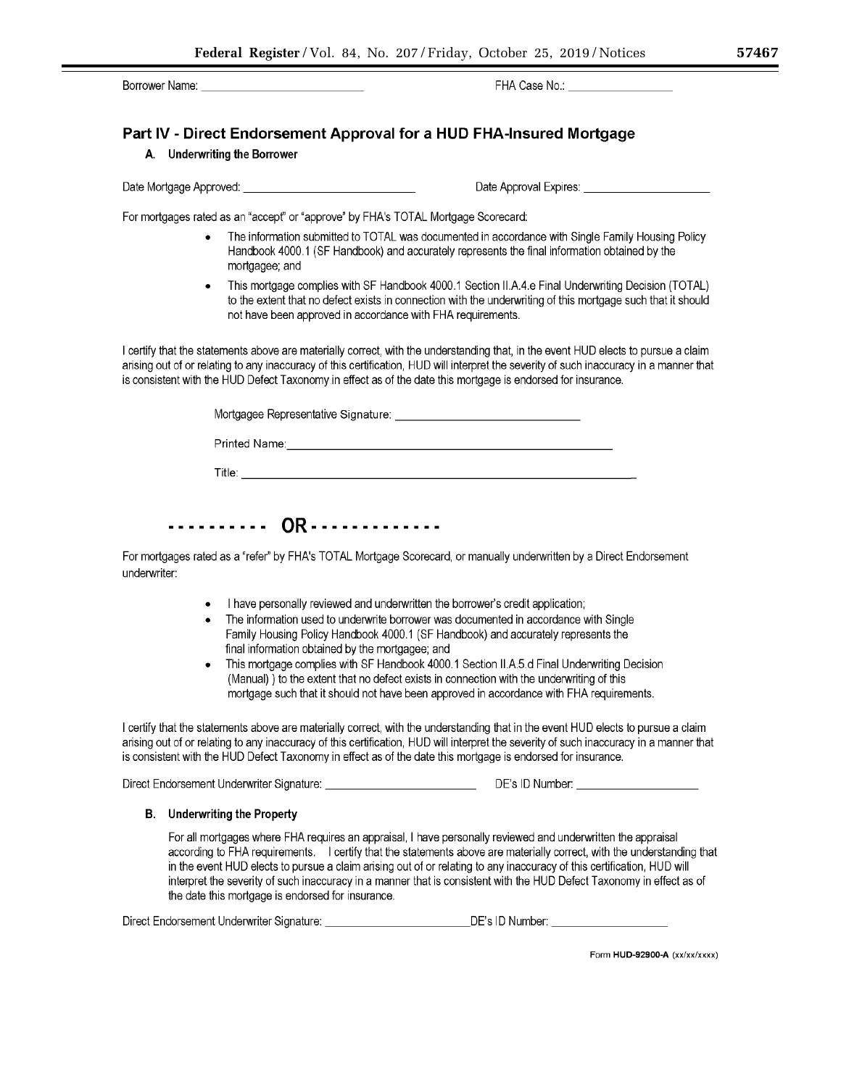Borrower Name:

FHA Case No.:

Date Approval Expires: <u>\_\_\_\_\_\_\_\_\_\_\_\_\_\_\_\_\_\_\_\_\_\_\_\_\_\_\_\_\_\_\_\_\_</u>

# Part IV - Direct Endorsement Approval for a HUD FHA-Insured Mortgage

## A. Underwriting the Borrower

For mortgages rated as an "accept" or "approve" by FHA's TOTAL Mortgage Scorecard:

- The information submitted to TOTAL was documented in accordance with Single Family Housing Policy Handbook 4000.1 (SF Handbook) and accurately represents the final information obtained by the mortgagee; and
- This mortgage complies with SF Handbook 4000.1 Section II.A.4.e Final Underwriting Decision (TOTAL)  $\bullet$ to the extent that no defect exists in connection with the underwriting of this mortgage such that it should not have been approved in accordance with FHA requirements.

I certify that the statements above are materially correct, with the understanding that, in the event HUD elects to pursue a claim arising out of or relating to any inaccuracy of this certification. HUD will interpret the severity of such inaccuracy in a manner that is consistent with the HUD Defect Taxonomy in effect as of the date this mortgage is endorsed for insurance.

| Mortgagee Representative Signature: |  |
|-------------------------------------|--|
| Printed Name:                       |  |
| Title∶                              |  |

# ........... OR.............

For mortgages rated as a "refer" by FHA's TOTAL Mortgage Scorecard, or manually underwritten by a Direct Endorsement underwriter:

- I have personally reviewed and underwritten the borrower's credit application;
- The information used to underwrite borrower was documented in accordance with Single Family Housing Policy Handbook 4000.1 (SF Handbook) and accurately represents the final information obtained by the mortgagee; and
- This mortgage complies with SF Handbook 4000.1 Section II.A.5.d Final Underwriting Decision (Manual) ) to the extent that no defect exists in connection with the underwriting of this mortgage such that it should not have been approved in accordance with FHA requirements.

I certify that the statements above are materially correct, with the understanding that in the event HUD elects to pursue a claim arising out of or relating to any inaccuracy of this certification, HUD will interpret the severity of such inaccuracy in a manner that is consistent with the HUD Defect Taxonomy in effect as of the date this mortgage is endorsed for insurance.

Direct Endorsement Underwriter Signature: \_\_\_\_\_\_\_\_\_\_\_\_\_\_\_\_\_\_\_\_\_\_\_\_\_\_\_\_\_\_\_\_\_\_\_DE's ID Number: \_\_\_

## **B.** Underwriting the Property

For all mortgages where FHA requires an appraisal, I have personally reviewed and underwritten the appraisal according to FHA requirements. I certify that the statements above are materially correct, with the understanding that in the event HUD elects to pursue a claim arising out of or relating to any inaccuracy of this certification, HUD will interpret the severity of such inaccuracy in a manner that is consistent with the HUD Defect Taxonomy in effect as of the date this mortgage is endorsed for insurance.

Direct Endorsement Underwriter Signature: Cambridge Contract Contract DE's ID Number:

Form HUD-92900-A (xx/xx/xxxx)